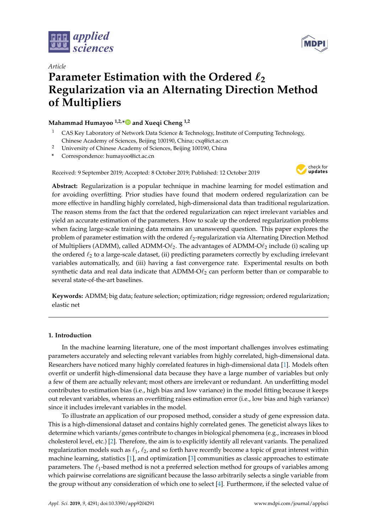



# *Article* **Parameter Estimation with the Ordered**  $\ell_2$ **Regularization via an Alternating Direction Method of Multipliers**

**Mahammad Humayoo 1,2,[\\*](https://orcid.org/0000-0001-6629-8186) and Xueqi Cheng 1,2**

- <sup>1</sup> CAS Key Laboratory of Network Data Science & Technology, Institute of Computing Technology, Chinese Academy of Sciences, Beijing 100190, China; cxq@ict.ac.cn
- <sup>2</sup> University of Chinese Academy of Sciences, Beijing 100190, China
- **\*** Correspondence: humayoo@ict.ac.cn

Received: 9 September 2019; Accepted: 8 October 2019; Published: 12 October 2019



**Abstract:** Regularization is a popular technique in machine learning for model estimation and for avoiding overfitting. Prior studies have found that modern ordered regularization can be more effective in handling highly correlated, high-dimensional data than traditional regularization. The reason stems from the fact that the ordered regularization can reject irrelevant variables and yield an accurate estimation of the parameters. How to scale up the ordered regularization problems when facing large-scale training data remains an unanswered question. This paper explores the problem of parameter estimation with the ordered  $\ell_2$ -regularization via Alternating Direction Method of Multipliers (ADMM), called ADMM-O $\ell_2$ . The advantages of ADMM-O $\ell_2$  include (i) scaling up the ordered  $\ell_2$  to a large-scale dataset, (ii) predicting parameters correctly by excluding irrelevant variables automatically, and (iii) having a fast convergence rate. Experimental results on both synthetic data and real data indicate that  $ADMM-O\ell_2$  can perform better than or comparable to several state-of-the-art baselines.

**Keywords:** ADMM; big data; feature selection; optimization; ridge regression; ordered regularization; elastic net

# **1. Introduction**

In the machine learning literature, one of the most important challenges involves estimating parameters accurately and selecting relevant variables from highly correlated, high-dimensional data. Researchers have noticed many highly correlated features in high-dimensional data [\[1\]](#page-14-0). Models often overfit or underfit high-dimensional data because they have a large number of variables but only a few of them are actually relevant; most others are irrelevant or redundant. An underfitting model contributes to estimation bias (i.e., high bias and low variance) in the model fitting because it keeps out relevant variables, whereas an overfitting raises estimation error (i.e., low bias and high variance) since it includes irrelevant variables in the model.

To illustrate an application of our proposed method, consider a study of gene expression data. This is a high-dimensional dataset and contains highly correlated genes. The geneticist always likes to determine which variants/genes contribute to changes in biological phenomena (e.g., increases in blood cholesterol level, etc.) [\[2\]](#page-14-1). Therefore, the aim is to explicitly identify all relevant variants. The penalized regularization models such as  $\ell_1$ ,  $\ell_2$ , and so forth have recently become a topic of great interest within machine learning, statistics [\[1\]](#page-14-0), and optimization [\[3\]](#page-15-0) communities as classic approaches to estimate parameters. The  $\ell_1$ -based method is not a preferred selection method for groups of variables among which pairwise correlations are significant because the lasso arbitrarily selects a single variable from the group without any consideration of which one to select [\[4\]](#page-15-1). Furthermore, if the selected value of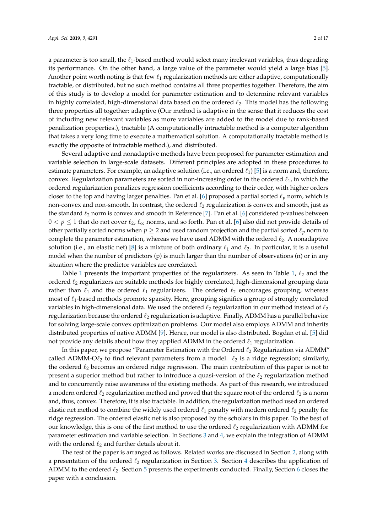a parameter is too small, the  $\ell_1$ -based method would select many irrelevant variables, thus degrading its performance. On the other hand, a large value of the parameter would yield a large bias [\[5\]](#page-15-2). Another point worth noting is that few  $\ell_1$  regularization methods are either adaptive, computationally tractable, or distributed, but no such method contains all three properties together. Therefore, the aim of this study is to develop a model for parameter estimation and to determine relevant variables in highly correlated, high-dimensional data based on the ordered  $\ell_2$ . This model has the following three properties all together: adaptive (Our method is adaptive in the sense that it reduces the cost of including new relevant variables as more variables are added to the model due to rank-based penalization properties.), tractable (A computationally intractable method is a computer algorithm that takes a very long time to execute a mathematical solution. A computationally tractable method is exactly the opposite of intractable method.), and distributed.

Several adaptive and nonadaptive methods have been proposed for parameter estimation and variable selection in large-scale datasets. Different principles are adopted in these procedures to estimate parameters. For example, an adaptive solution (i.e., an ordered  $\ell_1$ ) [\[5\]](#page-15-2) is a norm and, therefore, convex. Regularization parameters are sorted in non-increasing order in the ordered  $\ell_1$ , in which the ordered regularization penalizes regression coefficients according to their order, with higher orders closer to the top and having larger penalties. Pan et al. [\[6\]](#page-15-3) proposed a partial sorted  $\ell_p$  norm, which is non-convex and non-smooth. In contrast, the ordered  $\ell_2$  regularization is convex and smooth, just as the standard  $\ell_2$  norm is convex and smooth in Reference [\[7\]](#page-15-4). Pan et al. [\[6\]](#page-15-3) considered p-values between  $0 < p \le 1$  that do not cover  $\ell_2$ ,  $\ell_{\infty}$  norms, and so forth. Pan et al. [\[6\]](#page-15-3) also did not provide details of other partially sorted norms when  $p \ge 2$  and used random projection and the partial sorted  $\ell_p$  norm to complete the parameter estimation, whereas we have used ADMM with the ordered  $\ell_2$ . A nonadaptive solution (i.e., an elastic net) [\[8\]](#page-15-5) is a mixture of both ordinary  $\ell_1$  and  $\ell_2$ . In particular, it is a useful model when the number of predictors (p) is much larger than the number of observations (n) or in any situation where the predictor variables are correlated.

Table [1](#page-2-0) presents the important properties of the regularizers. As seen in Table [1,](#page-2-0)  $\ell_2$  and the ordered  $\ell_2$  regularizers are suitable methods for highly correlated, high-dimensional grouping data rather than  $\ell_1$  and the ordered  $\ell_1$  regularizers. The ordered  $\ell_2$  encourages grouping, whereas most of  $\ell_1$ -based methods promote sparsity. Here, grouping signifies a group of strongly correlated variables in high-dimensional data. We used the ordered  $\ell_2$  regularization in our method instead of  $\ell_2$ regularization because the ordered  $\ell_2$  regularization is adaptive. Finally, ADMM has a parallel behavior for solving large-scale convex optimization problems. Our model also employs ADMM and inherits distributed properties of native ADMM [\[9\]](#page-15-6). Hence, our model is also distributed. Bogdan et al. [\[5\]](#page-15-2) did not provide any details about how they applied ADMM in the ordered  $\ell_1$  regularization.

In this paper, we propose "Parameter Estimation with the Ordered  $\ell_2$  Regularization via ADMM" called ADMM-O $\ell_2$  to find relevant parameters from a model.  $\ell_2$  is a ridge regression; similarly, the ordered  $\ell_2$  becomes an ordered ridge regression. The main contribution of this paper is not to present a superior method but rather to introduce a quasi-version of the  $\ell_2$  regularization method and to concurrently raise awareness of the existing methods. As part of this research, we introduced a modern ordered  $\ell_2$  regularization method and proved that the square root of the ordered  $\ell_2$  is a norm and, thus, convex. Therefore, it is also tractable. In addition, the regularization method used an ordered elastic net method to combine the widely used ordered  $\ell_1$  penalty with modern ordered  $\ell_2$  penalty for ridge regression. The ordered elastic net is also proposed by the scholars in this paper. To the best of our knowledge, this is one of the first method to use the ordered  $\ell_2$  regularization with ADMM for parameter estimation and variable selection. In Sections [3](#page-3-0) and [4,](#page-4-0) we explain the integration of ADMM with the ordered  $\ell_2$  and further details about it.

The rest of the paper is arranged as follows. Related works are discussed in Section [2,](#page-2-1) along with a presentation of the ordered  $\ell_2$  regularization in Section [3.](#page-3-0) Section [4](#page-4-0) describes the application of ADMM to the ordered  $\ell_2$ . Section [5](#page-8-0) presents the experiments conducted. Finally, Section [6](#page-12-0) closes the paper with a conclusion.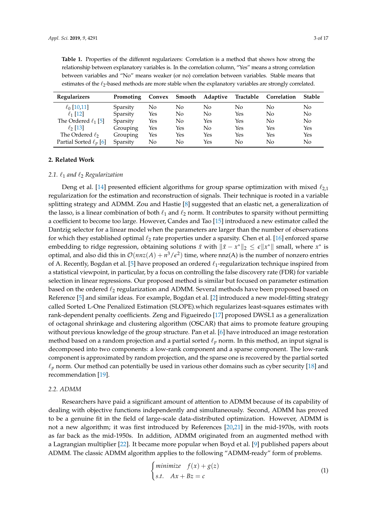| <b>Regularizers</b>         | Promoting | Convex | Smooth         | Adaptive | Tractable | Correlation | <b>Stable</b> |
|-----------------------------|-----------|--------|----------------|----------|-----------|-------------|---------------|
| $\ell_0$ [10,11]            | Sparsity  | No.    | No             | No       | No        | No          | No            |
| $\ell_1$ [12]               | Sparsity  | Yes    | N <sub>0</sub> | No       | Yes       | No          | No            |
| The Ordered $\ell_1$ [5]    | Sparsity  | Yes    | No             | Yes      | Yes       | No          | No            |
| $\ell_2$ [13]               | Grouping  | Yes    | Yes            | No       | Yes       | Yes         | Yes           |
| The Ordered $\ell_2$        | Grouping  | Yes    | Yes            | Yes      | Yes       | Yes         | Yes           |
| Partial Sorted $\ell_p$ [6] | Sparsity  | No     | No             | Yes      | No        | No          | No            |

<span id="page-2-0"></span>**Table 1.** Properties of the different regularizers: Correlation is a method that shows how strong the relationship between explanatory variables is. In the correlation column, "Yes" means a strong correlation between variables and "No" means weaker (or no) correlation between variables. Stable means that estimates of the  $\ell_2$ -based methods are more stable when the explanatory variables are strongly correlated.

#### <span id="page-2-1"></span>**2. Related Work**

## 2.1.  $\ell_1$  and  $\ell_2$  Regularization

Deng et al. [\[14\]](#page-15-11) presented efficient algorithms for group sparse optimization with mixed  $\ell_{2,1}$ regularization for the estimation and reconstruction of signals. Their technique is rooted in a variable splitting strategy and ADMM. Zou and Hastie [\[8\]](#page-15-5) suggested that an elastic net, a generalization of the lasso, is a linear combination of both  $\ell_1$  and  $\ell_2$  norm. It contributes to sparsity without permitting a coefficient to become too large. However, Candes and Tao [\[15\]](#page-15-12) introduced a new estimator called the Dantzig selector for a linear model when the parameters are larger than the number of observations for which they established optimal  $\ell_2$  rate properties under a sparsity. Chen et al. [\[16\]](#page-15-13) enforced sparse embedding to ridge regression, obtaining solutions  $\tilde{x}$  with  $\|\tilde{x} - x^*\|_2 \leq \epsilon \|x^*\|$  small, where  $x^*$  is optimal, and also did this in  $\mathcal{O}(nnz(A) + n^3/\epsilon^2)$  time, where nnz(A) is the number of nonzero entries of A. Recently, Bogdan et al. [\[5\]](#page-15-2) have proposed an ordered  $\ell_1$ -regularization technique inspired from a statistical viewpoint, in particular, by a focus on controlling the false discovery rate (FDR) for variable selection in linear regressions. Our proposed method is similar but focused on parameter estimation based on the ordered  $\ell_2$  regularization and ADMM. Several methods have been proposed based on Reference [\[5\]](#page-15-2) and similar ideas. For example, Bogdan et al. [\[2\]](#page-14-1) introduced a new model-fitting strategy called Sorted L-One Penalized Estimation (SLOPE).which regularizes least-squares estimates with rank-dependent penalty coefficients. Zeng and Figueiredo [\[17\]](#page-15-14) proposed DWSL1 as a generalization of octagonal shrinkage and clustering algorithm (OSCAR) that aims to promote feature grouping without previous knowledge of the group structure. Pan et al. [\[6\]](#page-15-3) have introduced an image restoration method based on a random projection and a partial sorted  $\ell_p$  norm. In this method, an input signal is decomposed into two components: a low-rank component and a sparse component. The low-rank component is approximated by random projection, and the sparse one is recovered by the partial sorted  $\ell_p$  norm. Our method can potentially be used in various other domains such as cyber security [\[18\]](#page-15-15) and recommendation [\[19\]](#page-15-16).

# *2.2. ADMM*

Researchers have paid a significant amount of attention to ADMM because of its capability of dealing with objective functions independently and simultaneously. Second, ADMM has proved to be a genuine fit in the field of large-scale data-distributed optimization. However, ADMM is not a new algorithm; it was first introduced by References [\[20,](#page-15-17)[21\]](#page-15-18) in the mid-1970s, with roots as far back as the mid-1950s. In addition, ADMM originated from an augmented method with a Lagrangian multiplier [\[22\]](#page-15-19). It became more popular when Boyd et al. [\[9\]](#page-15-6) published papers about ADMM. The classic ADMM algorithm applies to the following "ADMM-ready" form of problems.

<span id="page-2-2"></span>
$$
\begin{cases}\nminimize & f(x) + g(z) \\
s.t. & Ax + Bz = c\n\end{cases}
$$
\n(1)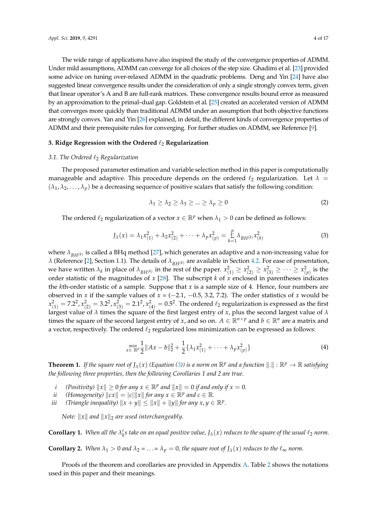The wide range of applications have also inspired the study of the convergence properties of ADMM. Under mild assumptions, ADMM can converge for all choices of the step size. Ghadimi et al. [\[23\]](#page-15-20) provided some advice on tuning over-relaxed ADMM in the quadratic problems. Deng and Yin [\[24\]](#page-15-21) have also suggested linear convergence results under the consideration of only a single strongly convex term, given that linear operator's A and B are full-rank matrices. These convergence results bound error as measured by an approximation to the primal–dual gap. Goldstein et al. [\[25\]](#page-15-22) created an accelerated version of ADMM that converges more quickly than traditional ADMM under an assumption that both objective functions are strongly convex. Yan and Yin [\[26\]](#page-15-23) explained, in detail, the different kinds of convergence properties of

# <span id="page-3-0"></span>**3. Ridge Regression with the Ordered**  $\ell_2$  **Regularization**

#### *3.1. The Ordered* `<sup>2</sup> *Regularization*

The proposed parameter estimation and variable selection method in this paper is computationally manageable and adaptive. This procedure depends on the ordered  $\ell_2$  regularization. Let  $\lambda =$  $(\lambda_1, \lambda_2, \dots, \lambda_p)$  be a decreasing sequence of positive scalars that satisfy the following condition:

ADMM and their prerequisite rules for converging. For further studies on ADMM, see Reference [\[9\]](#page-15-6).

<span id="page-3-3"></span><span id="page-3-1"></span>
$$
\lambda_1 \ge \lambda_2 \ge \lambda_3 \ge \dots \ge \lambda_p \ge 0 \tag{2}
$$

The ordered  $\ell_2$  regularization of a vector  $x \in \mathbb{R}^p$  when  $\lambda_1 > 0$  can be defined as follows:

$$
J_{\lambda}(x) = \lambda_1 x_{(1)}^2 + \lambda_2 x_{(2)}^2 + \dots + \lambda_p x_{(p)}^2 = \sum_{k=1}^p \lambda_{BH^{(k)}} x_{(k)}^2
$$
 (3)

where  $\lambda_{B,H(k)}$  is called a BHq method [\[27\]](#page-15-24), which generates an adaptive and a non-increasing value for *λ* (Reference [\[2\]](#page-14-1), Section 1.1). The details of  $\lambda_{BH(k)}$  are available in Section [4.2.](#page-6-0) For ease of presentation, we have written  $\lambda_k$  in place of  $\lambda_{BH^{(k)}}$  in the rest of the paper.  $x_{(1)}^2 \ge x_{(2)}^2 \ge x_{(3)}^2 \ge \cdots \ge x_{(p)}^2$  is the order statistic of the magnitudes of *x* [\[28\]](#page-16-0). The subscript *k* of *x* enclosed in parentheses indicates the *k*th-order statistic of a sample. Suppose that *x* is a sample size of 4. Hence, four numbers are observed in *x* if the sample values of  $x = (-2.1, -0.5, 3.2, 7.2)$ . The order statistics of *x* would be  $x_{(1)}^2=7.2^2$ ,  $x_{(2)}^2=3.2^2$ ,  $x_{(3)}^2=2.1^2$ ,  $x_{(4)}^2=0.5^2$ . The ordered  $\ell_2$  regularization is expressed as the first largest value of *λ* times the square of the first largest entry of *x*, plus the second largest value of *λ* times the square of the second largest entry of *x*, and so on.  $A \in \mathbb{R}^{n \times p}$  and  $b \in \mathbb{R}^n$  are a matrix and a vector, respectively. The ordered  $\ell_2$  regularized loss minimization can be expressed as follows:

$$
\min_{x \in \mathbb{R}^p} \frac{1}{2} \|Ax - b\|_2^2 + \frac{1}{2} \{\lambda_1 x_{(1)}^2 + \dots + \lambda_p x_{(p)}^2\}
$$
 (4)

<span id="page-3-2"></span>**Theorem 1.** If the square root of  $J_\lambda(x)$  (Equation [\(3\)](#page-3-1)) is a norm on  $\mathbb{R}^p$  and a function  $\|.\|:\mathbb{R}^p\to\mathbb{R}$  satisfying *the following three properties, then the following Corollaries 1 and 2 are true.*

- *i (Positivity)*  $||x|| \ge 0$  *for any*  $x \in \mathbb{R}^p$  *and*  $||x|| = 0$  *if and only if*  $x = 0$ *.*
- *ii*  $(Homogeneity)$   $\|cx\| = |c| \|x\|$  for any  $x \in \mathbb{R}^p$  and  $c \in \mathbb{R}$ .
- *iii (Triangle inequality)*  $||x + y|| \le ||x|| + ||y||$  *for any x, y*  $\in \mathbb{R}^p$ .

*Note:*  $||x||$  *and*  $||x||_2$  *are used interchangeably.* 

<span id="page-3-4"></span>**Corollary 1.** When all the  $\lambda'_k$ s take on an equal positive value,  $J_\lambda(x)$  reduces to the square of the usual  $\ell_2$  norm.

<span id="page-3-5"></span>**Corollary 2.** *When*  $\lambda_1 > 0$  *and*  $\lambda_2 = \ldots = \lambda_p = 0$ *, the square root of*  $J_\lambda(x)$  *reduces to the*  $\ell_{\infty}$  *norm.* 

Proofs of the theorem and corollaries are provided in Appendix [A.](#page-13-0) Table [2](#page-4-1) shows the notations used in this paper and their meanings.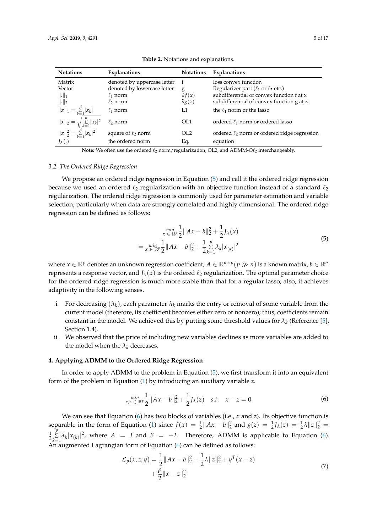<span id="page-4-1"></span>

| <b>Notations</b>                                                              | Explanations                                                                                 | <b>Notations</b>                                        | <b>Explanations</b>                                                                                                                                             |
|-------------------------------------------------------------------------------|----------------------------------------------------------------------------------------------|---------------------------------------------------------|-----------------------------------------------------------------------------------------------------------------------------------------------------------------|
| Matrix<br>Vector<br>$\ \cdot\ _1$<br>$\ \cdot\ _2$                            | denoted by uppercase letter<br>denoted by lowercase letter<br>$\ell_1$ norm<br>$\ell_2$ norm | $\mathbf{f}$<br>g<br>$\partial f(x)$<br>$\partial g(z)$ | loss convex function<br>Regularizer part ( $\ell_1$ or $\ell_2$ etc.)<br>subdifferential of convex function f at x<br>subdifferential of convex function g at z |
| $  x  _1 = \sum_{k=1}^n  x_k $                                                | $\ell_1$ norm                                                                                | L1                                                      | the $\ell_1$ norm or the lasso                                                                                                                                  |
| $\ x\ _2 = \sqrt{\sum_{k=1}^n  x_k ^2}$<br>$\ x\ _2^2 = \sum_{k=1}^n  x_k ^2$ | $\ell_2$ norm                                                                                | OL1                                                     | ordered $\ell_1$ norm or ordered lasso                                                                                                                          |
|                                                                               | square of $\ell_2$ norm                                                                      | OL2                                                     | ordered $\ell_2$ norm or ordered ridge regression                                                                                                               |
| $J_{\lambda}(.)$                                                              | the ordered norm                                                                             | Eq.                                                     | equation                                                                                                                                                        |

**Table 2.** Notations and explanations.

**Note:** We often use the ordered  $\ell_2$  norm/regularization, OL2, and ADMM-O $\ell_2$  interchangeably.

# *3.2. The Ordered Ridge Regression*

We propose an ordered ridge regression in Equation [\(5\)](#page-4-2) and call it the ordered ridge regression because we used an ordered  $\ell_2$  regularization with an objective function instead of a standard  $\ell_2$ regularization. The ordered ridge regression is commonly used for parameter estimation and variable selection, particularly when data are strongly correlated and highly dimensional. The ordered ridge regression can be defined as follows:

$$
\min_{x \in \mathbb{R}^p} \frac{1}{2} \|Ax - b\|_2^2 + \frac{1}{2} J_\lambda(x)
$$
  
= 
$$
\min_{x \in \mathbb{R}^p} \frac{1}{2} \|Ax - b\|_2^2 + \frac{1}{2} \sum_{k=1}^p \lambda_k |x_{(k)}|^2
$$
 (5)

<span id="page-4-2"></span>where  $x \in \mathbb{R}^p$  denotes an unknown regression coefficient,  $A \in \mathbb{R}^{n \times p}$   $(p \gg n)$  is a known matrix,  $b \in \mathbb{R}^n$ represents a response vector, and  $J_\lambda(x)$  is the ordered  $\ell_2$  regularization. The optimal parameter choice for the ordered ridge regression is much more stable than that for a regular lasso; also, it achieves adaptivity in the following senses.

- i For decreasing  $(\lambda_k)$ , each parameter  $\lambda_k$  marks the entry or removal of some variable from the current model (therefore, its coefficient becomes either zero or nonzero); thus, coefficients remain constant in the model. We achieved this by putting some threshold values for  $\lambda_k$  (Reference [\[5\]](#page-15-2), Section 1.4).
- ii We observed that the price of including new variables declines as more variables are added to the model when the  $\lambda_k$  decreases.

## <span id="page-4-0"></span>**4. Applying ADMM to the Ordered Ridge Regression**

In order to apply ADMM to the problem in Equation [\(5\)](#page-4-2), we first transform it into an equivalent form of the problem in Equation [\(1\)](#page-2-2) by introducing an auxiliary variable *z*.

$$
\min_{x,z \in \mathbb{R}^p} \frac{1}{2} \|Ax - b\|_2^2 + \frac{1}{2} J_\lambda(z) \quad s.t. \quad x - z = 0 \tag{6}
$$

<span id="page-4-3"></span>We can see that Equation [\(6\)](#page-4-3) has two blocks of variables (i.e., *x* and *z*). Its objective function is separable in the form of Equation [\(1\)](#page-2-2) since  $f(x) = \frac{1}{2} ||Ax - b||_2^2$  and  $g(z) = \frac{1}{2} J_\lambda(z) = \frac{1}{2} \lambda ||z||_2^2$  $\frac{1}{2}$ *p*  $\sum_{k=1}^{L} \lambda_k |x_{(k)}|^2$ , where  $A = I$  and  $B = -I$ . Therefore, ADMM is applicable to Equation [\(6\)](#page-4-3). An augmented Lagrangian form of Equation  $(6)$  can be defined as follows:

<span id="page-4-4"></span>
$$
\mathcal{L}_p(x, z, y) = \frac{1}{2} ||Ax - b||_2^2 + \frac{1}{2}\lambda ||z||_2^2 + y^T(x - z) \n+ \frac{\rho}{2} ||x - z||_2^2
$$
\n(7)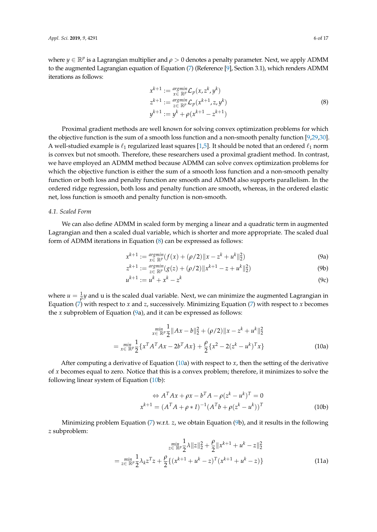where  $y \in \mathbb{R}^p$  is a Lagrangian multiplier and  $\rho > 0$  denotes a penalty parameter. Next, we apply ADMM to the augmented Lagrangian equation of Equation [\(7\)](#page-4-4) (Reference [\[9\]](#page-15-6), Section 3.1), which renders ADMM iterations as follows:

$$
x^{k+1} := \underset{x \in \mathbb{R}^p}{\operatorname{argmin}} \mathcal{L}_p(x, z^k, y^k)
$$
  
\n
$$
z^{k+1} := \underset{z \in \mathbb{R}^p}{\operatorname{argmin}} \mathcal{L}_p(x^{k+1}, z, y^k)
$$
  
\n
$$
y^{k+1} := y^k + \rho(x^{k+1} - z^{k+1})
$$
\n(8)

<span id="page-5-0"></span>Proximal gradient methods are well known for solving convex optimization problems for which the objective function is the sum of a smooth loss function and a non-smooth penalty function [\[9](#page-15-6)[,29](#page-16-1)[,30\]](#page-16-2). A well-studied example is  $\ell_1$  regularized least squares [\[1](#page-14-0)[,5\]](#page-15-2). It should be noted that an ordered  $\ell_1$  norm is convex but not smooth. Therefore, these researchers used a proximal gradient method. In contrast, we have employed an ADMM method because ADMM can solve convex optimization problems for which the objective function is either the sum of a smooth loss function and a non-smooth penalty function or both loss and penalty function are smooth and ADMM also supports parallelism. In the ordered ridge regression, both loss and penalty function are smooth, whereas, in the ordered elastic net, loss function is smooth and penalty function is non-smooth.

## <span id="page-5-4"></span>*4.1. Scaled Form*

We can also define ADMM in scaled form by merging a linear and a quadratic term in augmented Lagrangian and then a scaled dual variable, which is shorter and more appropriate. The scaled dual form of ADMM iterations in Equation [\(8\)](#page-5-0) can be expressed as follows:

<span id="page-5-1"></span>
$$
x^{k+1} := \underset{x \in \mathbb{R}^p}{\operatorname{argmin}} (f(x) + (\rho/2) \|x - z^k + u^k\|_2^2)
$$
 (9a)

$$
z^{k+1} := \frac{\arg\min}{z \in \mathbb{R}^p} (g(z) + (\rho/2) \|x^{k+1} - z + u^k\|_2^2)
$$
(9b)

<span id="page-5-2"></span>
$$
u^{k+1} := u^k + x^k - z^k \tag{9c}
$$

where  $u = \frac{1}{\rho}y$  and u is the scaled dual variable. Next, we can minimize the augmented Lagrangian in Equation  $(7)$  with respect to *x* and *z*, successively. Minimizing Equation  $(7)$  with respect to *x* becomes the *x* subproblem of Equation [\(9a](#page-5-1)), and it can be expressed as follows:

$$
\min_{x \in \mathbb{R}^p} \frac{1}{2} \|Ax - b\|_2^2 + (\rho/2) \|x - z^k + u^k\|_2^2
$$
  
= 
$$
\min_{x \in \mathbb{R}^p} \frac{1}{2} \{x^T A^T A x - 2b^T A x\} + \frac{\rho}{2} \{x^2 - 2(z^k - u^k)^T x\}
$$
 (10a)

After computing a derivative of Equation [\(10a](#page-5-2)) with respect to *x*, then the setting of the derivative of *x* becomes equal to zero. Notice that this is a convex problem; therefore, it minimizes to solve the following linear system of Equation [\(10b](#page-5-2)):

$$
\Leftrightarrow A^T A x + \rho x - b^T A - \rho (z^k - u^k)^T = 0
$$
  

$$
x^{k+1} = (A^T A + \rho * I)^{-1} (A^T b + \rho (z^k - u^k))^T
$$
 (10b)

Minimizing problem Equation [\(7\)](#page-4-4) w.r.t. *z*, we obtain Equation [\(9b](#page-5-1)), and it results in the following *z* subproblem:

<span id="page-5-3"></span>
$$
\min_{z \in \mathbb{R}^p} \frac{1}{2} \lambda \|z\|_2^2 + \frac{\rho}{2} \|x^{k+1} + u^k - z\|_2^2
$$

$$
= \min_{z \in \mathbb{R}^p} \frac{1}{2} \lambda_k z^T z + \frac{\rho}{2} \{ (x^{k+1} + u^k - z)^T (x^{k+1} + u^k - z) \}
$$
(11a)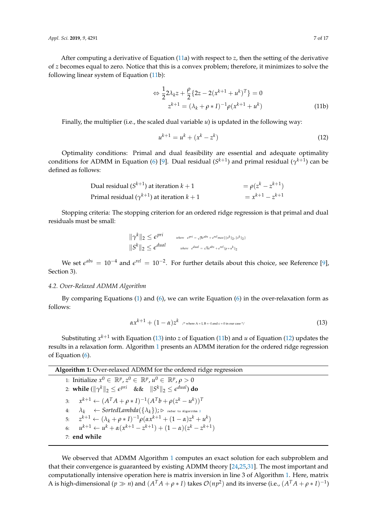After computing a derivative of Equation [\(11a](#page-5-3)) with respect to *z*, then the setting of the derivative of *z* becomes equal to zero. Notice that this is a convex problem; therefore, it minimizes to solve the following linear system of Equation [\(11b](#page-5-3)):

$$
\Leftrightarrow \frac{1}{2} 2\lambda_k z + \frac{\rho}{2} \{ 2z - 2(x^{k+1} + u^k)^T \} = 0
$$
  

$$
z^{k+1} = (\lambda_k + \rho * I)^{-1} \rho(x^{k+1} + u^k)
$$
 (11b)

Finally, the multiplier (i.e., the scaled dual variable *u*) is updated in the following way:

<span id="page-6-2"></span>
$$
u^{k+1} = u^k + (x^k - z^k) \tag{12}
$$

Optimality conditions: Primal and dual feasibility are essential and adequate optimality conditions for ADMM in Equation [\(6\)](#page-4-3) [\[9\]](#page-15-6). Dual residual  $(S^{k+1})$  and primal residual  $(\gamma^{k+1})$  can be defined as follows:

Dual residual (
$$
S^{k+1}
$$
) at iteration  $k + 1$ 

\nPrimal residual ( $\gamma^{k+1}$ ) at iteration  $k + 1$ 

\n
$$
= x^{k+1} - z^{k+1}
$$

Stopping criteria: The stopping criterion for an ordered ridge regression is that primal and dual residuals must be small:

$$
\|\gamma^{k}\|_{2} \leq \epsilon^{pri} \qquad \text{where} \quad \epsilon^{pri} = \sqrt{p} \epsilon^{abs} + \epsilon^{rel} \max\{\|x^{k}\|_{2}, \|z^{k}\|_{2}\}
$$

$$
\|S^{k}\|_{2} \leq \epsilon^{dual} \qquad \text{where} \quad \epsilon^{dual} = \sqrt{n} \epsilon^{abs} + \epsilon^{rel} \|\rho \ast u^{k}\|_{2}
$$

We set  $\epsilon^{abs} = 10^{-4}$  and  $\epsilon^{rel} = 10^{-2}$ . For further details about this choice, see Reference [\[9\]](#page-15-6), Section 3).

# <span id="page-6-0"></span>*4.2. Over-Relaxed ADMM Algorithm*

By comparing Equations [\(1\)](#page-2-2) and [\(6\)](#page-4-3), we can write Equation [\(6\)](#page-4-3) in the over-relaxation form as follows:

<span id="page-6-1"></span>
$$
\alpha x^{k+1} + (1 - \alpha) z^k \quad \text{where A = I, B = -I and c = 0 in our case */}
$$
\n
$$
(13)
$$

Substituting *x <sup>k</sup>*+<sup>1</sup> with Equation [\(13\)](#page-6-1) into *z* of Equation [\(11b](#page-5-3)) and *u* of Equation [\(12\)](#page-6-2) updates the results in a relaxation form. Algorithm [1](#page-6-3) presents an ADMM iteration for the ordered ridge regression of Equation [\(6\)](#page-4-3).

<span id="page-6-3"></span>

| <b>Algorithm 1:</b> Over-relaxed ADMM for the ordered ridge regression                              |  |  |  |  |
|-----------------------------------------------------------------------------------------------------|--|--|--|--|
| 1: Initialize $x^0 \in \mathbb{R}^p$ , $z^0 \in \mathbb{R}^p$ , $u^0 \in \mathbb{R}^p$ , $\rho > 0$ |  |  |  |  |
| 2: while $(\ \gamma^k\ _2 \leq \epsilon^{pri} \&\&\ \beta^k\ _2 \leq \epsilon^{dual}$ ) do          |  |  |  |  |
| 3: $x^{k+1} \leftarrow (A^T A + \rho * I)^{-1} (A^T b + \rho (z^k - u^k))^T$                        |  |  |  |  |
| 4: $\lambda_k \leftarrow SortedLambda(\{\lambda_k\}); \triangleright$ refer to Algorithm 2          |  |  |  |  |
| 5: $z^{k+1} \leftarrow (\lambda_k + \rho * I)^{-1} \rho(\alpha x^{k+1} + (1 - \alpha) z^k + u^k)$   |  |  |  |  |
| 6: $u^{k+1} \leftarrow u^k + \alpha (x^{k+1} - z^{k+1}) + (1 - \alpha)(z^k - z^{k+1})$              |  |  |  |  |
| $7:$ end while                                                                                      |  |  |  |  |

We observed that ADMM Algorithm [1](#page-6-3) computes an exact solution for each subproblem and that their convergence is guaranteed by existing ADMM theory [\[24](#page-15-21)[,25](#page-15-22)[,31\]](#page-16-3). The most important and computationally intensive operation here is matrix inversion in line 3 of Algorithm [1.](#page-6-3) Here, matrix A is high-dimensional  $(p \gg n)$  and  $(A^TA + \rho * I)$  takes  $\mathcal{O}(np^2)$  and its inverse (i.e.,  $(A^TA + \rho * I)^{-1}$ )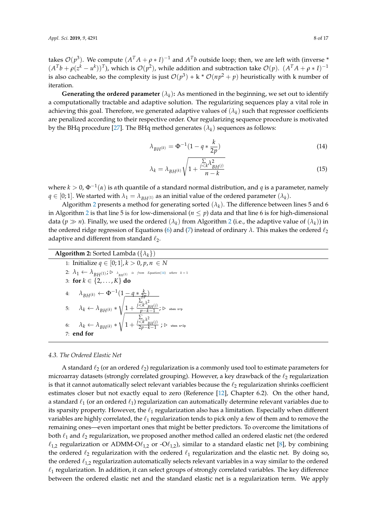takes  $\mathcal{O}(p^3)$ . We compute  $(A^T A + \rho * I)^{-1}$  and  $A^T b$  outside loop; then, we are left with (inverse \*  $(A^Tb + \rho(z^k - u^k))^T$ ), which is  $\mathcal{O}(p^2)$ , while addition and subtraction take  $\mathcal{O}(p)$ .  $(A^T A + \rho * I)^{-1}$ is also cacheable, so the complexity is just  $\mathcal{O}(p^3) + k * \mathcal{O}(np^2 + p)$  heuristically with k number of iteration.

**Generating the ordered parameter**  $(\lambda_k)$ : As mentioned in the beginning, we set out to identify a computationally tractable and adaptive solution. The regularizing sequences play a vital role in achieving this goal. Therefore, we generated adaptive values of  $(\lambda_k)$  such that regressor coefficients are penalized according to their respective order. Our regularizing sequence procedure is motivated by the BHq procedure [\[27\]](#page-15-24). The BHq method generates  $(\lambda_k)$  sequences as follows:

<span id="page-7-1"></span>
$$
\lambda_{BH^{(k)}} = \Phi^{-1} (1 - q * \frac{k}{2p})
$$
\n(14)

<span id="page-7-2"></span>
$$
\lambda_k = \lambda_{BH^{(k)}} \sqrt{1 + \frac{\sum\limits_{j < k} \lambda_{BH^{(j)}}^2}{n - k}} \tag{15}
$$

where *k* > 0, Φ−<sup>1</sup> (*α*) is *α*th quantile of a standard normal distribution, and *q* is a parameter, namely  $q \in [0;1]$ . We started with  $\lambda_1 = \lambda_{BH^{(1)}}$  as an initial value of the ordered parameter  $(\lambda_k)$ .

Algorithm [2](#page-7-0) presents a method for generating sorted  $(\lambda_k)$ . The difference between lines 5 and 6 in Algorithm [2](#page-7-0) is that line 5 is for low-dimensional ( $n \leq p$ ) data and that line 6 is for high-dimensional data ( $p \gg n$ ). Finally, we used the ordered  $(\lambda_k)$  from Algorithm [2](#page-7-0) (i.e., the adaptive value of  $(\lambda_k)$ ) in the ordered ridge regression of Equations [\(6\)](#page-4-3) and [\(7\)](#page-4-4) instead of ordinary  $\lambda$ . This makes the ordered  $\ell_2$ adaptive and different from standard  $\ell_2$ .

<span id="page-7-0"></span>

| <b>Algorithm 2:</b> Sorted Lambda $({\lambda_k})$                                                                                                                                                                                                                                                                                                                                                                                                                                      |
|----------------------------------------------------------------------------------------------------------------------------------------------------------------------------------------------------------------------------------------------------------------------------------------------------------------------------------------------------------------------------------------------------------------------------------------------------------------------------------------|
| 1: Initialize $q \in [0;1], k > 0, p, n \in N$                                                                                                                                                                                                                                                                                                                                                                                                                                         |
| $2{:}~~ \lambda_1 \leftarrow \lambda_{BH^{(1)}}; \triangleright \text{ } \lambda_{_{BH^{(1)}}} \text{ is from Equation(14) where } k = 1$                                                                                                                                                                                                                                                                                                                                              |
| 3: for $k \in \{2, , K\}$ do                                                                                                                                                                                                                                                                                                                                                                                                                                                           |
|                                                                                                                                                                                                                                                                                                                                                                                                                                                                                        |
| $\begin{array}{ll} \textbf{4:} & \lambda_{BH(k)} \leftarrow \Phi^{-1} (1 - q * \frac{k}{2p}) \\ & \sum\limits_{k=1}^{N-2} \lambda_k \leftarrow \lambda_{BH(k)} * \sqrt{1 + \frac{\sum\limits_{p= k-1}^{j < k^2} \lambda_{BH(j)}^2}{p - k - 1}}; \, \textbf{D} \text{ when } \textbf{D} \textbf{P} \right)} \\ \textbf{6:} & \lambda_k \leftarrow \lambda_{BH(k)} * \sqrt{1 + \frac{j < k^2 \lambda_{BH(j)}^2}{2p - k - 1}}; \, \textbf{D} \text{ when } \textbf{D} \textbf{P} \textbf$ |
|                                                                                                                                                                                                                                                                                                                                                                                                                                                                                        |
| $7:$ end for                                                                                                                                                                                                                                                                                                                                                                                                                                                                           |

# *4.3. The Ordered Elastic Net*

A standard  $\ell_2$  (or an ordered  $\ell_2$ ) regularization is a commonly used tool to estimate parameters for microarray datasets (strongly correlated grouping). However, a key drawback of the  $\ell_2$  regularization is that it cannot automatically select relevant variables because the  $\ell_2$  regularization shrinks coefficient estimates closer but not exactly equal to zero (Reference [\[12\]](#page-15-9), Chapter 6.2). On the other hand, a standard  $\ell_1$  (or an ordered  $\ell_1$ ) regularization can automatically determine relevant variables due to its sparsity property. However, the  $\ell_1$  regularization also has a limitation. Especially when different variables are highly correlated, the  $\ell_1$  regularization tends to pick only a few of them and to remove the remaining ones—even important ones that might be better predictors. To overcome the limitations of both  $\ell_1$  and  $\ell_2$  regularization, we proposed another method called an ordered elastic net (the ordered  $\ell_{1,2}$  regularization or ADMM-O $\ell_{1,2}$  or -O $\ell_{1,2}$ ), similar to a standard elastic net [\[8\]](#page-15-5), by combining the ordered  $\ell_2$  regularization with the ordered  $\ell_1$  regularization and the elastic net. By doing so, the ordered  $\ell_{1,2}$  regularization automatically selects relevant variables in a way similar to the ordered  $\ell_1$  regularization. In addition, it can select groups of strongly correlated variables. The key difference between the ordered elastic net and the standard elastic net is a regularization term. We apply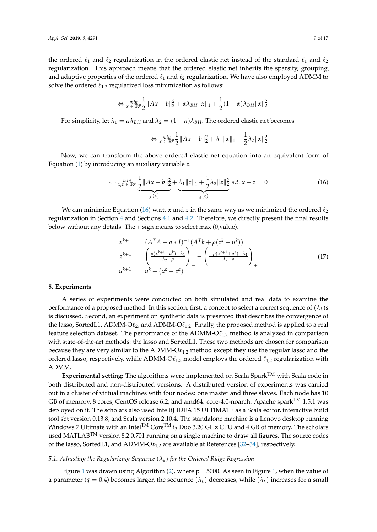the ordered  $\ell_1$  and  $\ell_2$  regularization in the ordered elastic net instead of the standard  $\ell_1$  and  $\ell_2$ regularization. This approach means that the ordered elastic net inherits the sparsity, grouping, and adaptive properties of the ordered  $\ell_1$  and  $\ell_2$  regularization. We have also employed ADMM to solve the ordered  $\ell_{1,2}$  regularized loss minimization as follows:

$$
\Leftrightarrow \min_{x \in \mathbb{R}^p} \frac{1}{2} \|Ax - b\|_2^2 + \alpha \lambda_{BH} \|x\|_1 + \frac{1}{2} (1 - \alpha) \lambda_{BH} \|x\|_2^2
$$

For simplicity, let  $\lambda_1 = \alpha \lambda_{BH}$  and  $\lambda_2 = (1 - \alpha) \lambda_{BH}$ . The ordered elastic net becomes

<span id="page-8-1"></span>
$$
\Leftrightarrow \min_{x \in \mathbb{R}^p} \frac{1}{2} \|Ax - b\|_2^2 + \lambda_1 \|x\|_1 + \frac{1}{2}\lambda_2 \|x\|_2^2
$$

Now, we can transform the above ordered elastic net equation into an equivalent form of Equation [\(1\)](#page-2-2) by introducing an auxiliary variable *z*.

$$
\Leftrightarrow \lim_{x,z \in \mathbb{R}^p} \underbrace{\frac{1}{2} \|Ax - b\|_2^2}_{f(x)} + \underbrace{\lambda_1 \|z\|_1 + \frac{1}{2} \lambda_2 \|z\|_2^2}_{g(z)} \ s.t. \ x - z = 0 \tag{16}
$$

We can minimize Equation [\(16\)](#page-8-1) w.r.t. *x* and *z* in the same way as we minimized the ordered  $\ell_2$ regularization in Section [4](#page-4-0) and Sections [4.1](#page-5-4) and [4.2.](#page-6-0) Therefore, we directly present the final results below without any details. The + sign means to select max (0,value).

$$
x^{k+1} = (A^T A + \rho * I)^{-1} (A^T b + \rho (z^k - u^k))
$$
  
\n
$$
z^{k+1} = \left( \frac{\rho (x^{k+1} + u^k) - \lambda_1}{\lambda_2 + \rho} \right)_+ - \left( \frac{-\rho (x^{k+1} + u^k) - \lambda_1}{\lambda_2 + \rho} \right)_+
$$
  
\n
$$
u^{k+1} = u^k + (x^k - z^k)
$$
\n(17)

#### <span id="page-8-0"></span>**5. Experiments**

A series of experiments were conducted on both simulated and real data to examine the performance of a proposed method. In this section, first, a concept to select a correct sequence of  $(\lambda_k)$ s is discussed. Second, an experiment on synthetic data is presented that describes the convergence of the lasso, SortedL1, ADMM-O $\ell_2$ , and ADMM-O $\ell_{1,2}$ . Finally, the proposed method is applied to a real feature selection dataset. The performance of the ADMM-O $\ell_{1,2}$  method is analyzed in comparison with state-of-the-art methods: the lasso and SortedL1. These two methods are chosen for comparison because they are very similar to the ADMM- $O\ell_{1,2}$  method except they use the regular lasso and the ordered lasso, respectively, while ADMM-O $\ell_{1,2}$  model employs the ordered  $\ell_{1,2}$  regularization with ADMM.

**Experimental setting:** The algorithms were implemented on Scala SparkTM with Scala code in both distributed and non-distributed versions. A distributed version of experiments was carried out in a cluster of virtual machines with four nodes: one master and three slaves. Each node has 10 GB of memory, 8 cores, CentOS release 6.2, and amd64: core-4.0-noarch. Apache spark<sup>TM</sup> 1.5.1 was deployed on it. The scholars also used IntelliJ IDEA 15 ULTIMATE as a Scala editor, interactive build tool sbt version 0.13.8, and Scala version 2.10.4. The standalone machine is a Lenovo desktop running Windows 7 Ultimate with an Intel<sup>TM</sup> Core<sup>TM</sup> i<sub>3</sub> Duo 3.20 GHz CPU and 4 GB of memory. The scholars used MATLAB<sup>TM</sup> version 8.2.0.701 running on a single machine to draw all figures. The source codes of the lasso, SortedL1, and ADMM-O $\ell_{1,2}$  are available at References [\[32](#page-16-4)[–34\]](#page-16-5), respectively.

# <span id="page-8-2"></span>*5.1. Adjusting the Regularizing Sequence* (*λ<sup>k</sup>* ) *for the Ordered Ridge Regression*

Figure [1](#page-9-0) was drawn using Algorithm  $(2)$ , where  $p = 5000$ . As seen in Figure [1,](#page-9-0) when the value of a parameter ( $q = 0.4$ ) becomes larger, the sequence  $(\lambda_k)$  decreases, while  $(\lambda_k)$  increases for a small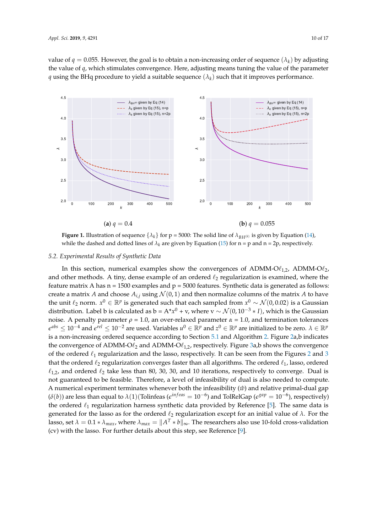value of  $q = 0.055$ . However, the goal is to obtain a non-increasing order of sequence  $(\lambda_k)$  by adjusting the value of *q*, which stimulates convergence. Here, adjusting means tuning the value of the parameter  $q$  using the BHq procedure to yield a suitable sequence  $(\lambda_k)$  such that it improves performance.

<span id="page-9-0"></span>

**Figure 1.** Illustration of sequence  $\{\lambda_k\}$  for  $p = 5000$ : The solid line of  $\lambda_{B(H(k))}$  is given by Equation [\(14\)](#page-7-1), while the dashed and dotted lines of  $\lambda_k$  are given by Equation [\(15\)](#page-7-2) for  $n = p$  and  $n = 2p$ , respectively.

# *5.2. Experimental Results of Synthetic Data*

In this section, numerical examples show the convergences of ADMM-O $\ell_{1,2}$ , ADMM-O $\ell_{2}$ , and other methods. A tiny, dense example of an ordered  $\ell_2$  regularization is examined, where the feature matrix A has  $n = 1500$  examples and  $p = 5000$  features. Synthetic data is generated as follows: create a matrix *A* and choose  $A_{i,j}$  using  $\mathcal{N}(0,1)$  and then normalize columns of the matrix *A* to have the unit  $\ell_2$  norm.  $x^0$  ∈  $\mathbb{R}^p$  is generated such that each sampled from  $x^0$  ∼  $\mathcal{N}(0,0.02)$  is a Gaussian distribution. Label b is calculated as b = A\* $x^0$  + v, where v  $\sim \mathcal{N}(0, 10^{-3} * I)$ , which is the Gaussian noise. A penalty parameter  $ρ = 1.0$ , an over-relaxed parameter  $α = 1.0$ , and termination tolerances  $e^{abs}$  ≤ 10<sup>−4</sup> and  $e^{rel}$  ≤ 10<sup>−2</sup> are used. Variables  $u^0$  ∈  $\mathbb{R}^p$  and  $z^0$  ∈  $\mathbb{R}^p$  are initialized to be zero.  $\lambda \in \mathbb{R}^p$ is a non-increasing ordered sequence according to Section [5.1](#page-8-2) and Algorithm [2.](#page-7-0) Figure [2a](#page-10-0),b indicates the convergence of ADMM-O $\ell_2$  and ADMM-O $\ell_{1,2}$ , respectively. Figure [3a](#page-10-1),b shows the convergence of the ordered  $\ell_1$  regularization and the lasso, respectively. It can be seen from the Figures [2](#page-10-0) and [3](#page-10-1) that the ordered  $\ell_2$  regularization converges faster than all algorithms. The ordered  $\ell_1$ , lasso, ordered  $\ell_{1,2}$ , and ordered  $\ell_2$  take less than 80, 30, 30, and 10 iterations, respectively to converge. Dual is not guaranteed to be feasible. Therefore, a level of infeasibility of dual is also needed to compute. A numerical experiment terminates whenever both the infeasibility  $(\hat{w})$  and relative primal-dual gap  $(\delta(b))$  are less than equal to  $\lambda(1)$ (Tolinfeas ( $e^{infeas} = 10^{-6}$ ) and TolRelGap ( $e^{gap} = 10^{-6}$ ), respectively) the ordered  $\ell_1$  regularization harness synthetic data provided by Reference [\[5\]](#page-15-2). The same data is generated for the lasso as for the ordered  $\ell_2$  regularization except for an initial value of  $\lambda$ . For the lasso, set  $\lambda = 0.1*\lambda_{max}$ , where  $\lambda_{max} = \|A^T * b\|_\infty$ . The researchers also use 10-fold cross-validation (cv) with the lasso. For further details about this step, see Reference [\[9\]](#page-15-6).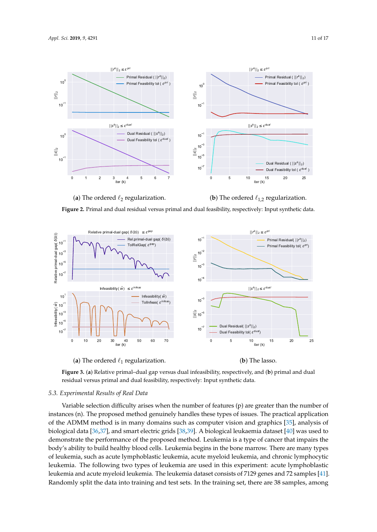<span id="page-10-0"></span>

(a) The ordered  $\ell_2$  regularization. (**b**) The ordered  $\ell_{1,2}$  regularization.



<span id="page-10-1"></span>

(a) The ordered  $\ell_1$  regularization.

(**b**) The lasso.



## *5.3. Experimental Results of Real Data*

Variable selection difficulty arises when the number of features (p) are greater than the number of instances (n). The proposed method genuinely handles these types of issues. The practical application of the ADMM method is in many domains such as computer vision and graphics [\[35\]](#page-16-6), analysis of biological data [\[36](#page-16-7)[,37\]](#page-16-8), and smart electric grids [\[38](#page-16-9)[,39\]](#page-16-10). A biological leukaemia dataset [\[40\]](#page-16-11) was used to demonstrate the performance of the proposed method. Leukemia is a type of cancer that impairs the body's ability to build healthy blood cells. Leukemia begins in the bone marrow. There are many types of leukemia, such as acute lymphoblastic leukemia, acute myeloid leukemia, and chronic lymphocytic leukemia. The following two types of leukemia are used in this experiment: acute lymphoblastic leukemia and acute myeloid leukemia. The leukemia dataset consists of 7129 genes and 72 samples [\[41\]](#page-16-12). Randomly split the data into training and test sets. In the training set, there are 38 samples, among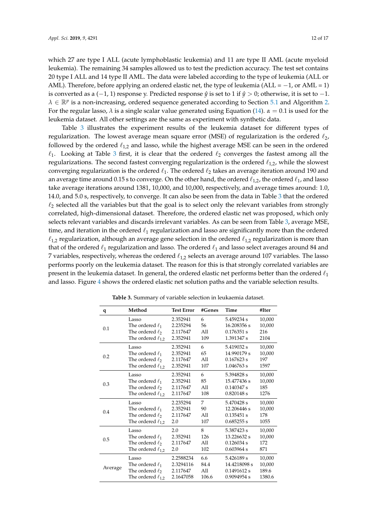which 27 are type I ALL (acute lymphoblastic leukemia) and 11 are type II AML (acute myeloid leukemia). The remaining 34 samples allowed us to test the prediction accuracy. The test set contains 20 type I ALL and 14 type II AML. The data were labeled according to the type of leukemia (ALL or AML). Therefore, before applying an ordered elastic net, the type of leukemia (ALL =  $-1$ , or AML = 1) is converted as a  $(-1, 1)$  response y. Predicted response  $\hat{y}$  is set to 1 if  $\hat{y} > 0$ ; otherwise, it is set to −1.  $\lambda \in \mathbb{R}^p$  is a non-increasing, ordered sequence generated according to Section [5.1](#page-8-2) and Algorithm [2.](#page-7-0) For the regular lasso, *λ* is a single scalar value generated using Equation [\(14\)](#page-7-1). *α* = 0.1 is used for the

leukemia dataset. All other settings are the same as experiment with synthetic data.

Table [3](#page-11-0) illustrates the experiment results of the leukemia dataset for different types of regularization. The lowest average mean square error (MSE) of regularization is the ordered  $\ell_2$ , followed by the ordered  $\ell_{1,2}$  and lasso, while the highest average MSE can be seen in the ordered  $\ell_1$ . Looking at Table [3](#page-11-0) first, it is clear that the ordered  $\ell_2$  converges the fastest among all the regularizations. The second fastest converging regularization is the ordered  $\ell_{1,2}$ , while the slowest converging regularization is the ordered  $\ell_1$ . The ordered  $\ell_2$  takes an average iteration around 190 and an average time around 0.15 s to converge. On the other hand, the ordered  $\ell_{1,2}$ , the ordered  $\ell_1$ , and lasso take average iterations around 1381, 10,000, and 10,000, respectively, and average times around: 1.0, 14.0, and 5.0 s, respectively, to converge. It can also be seen from the data in Table [3](#page-11-0) that the ordered  $\ell_2$  selected all the variables but that the goal is to select only the relevant variables from strongly correlated, high-dimensional dataset. Therefore, the ordered elastic net was proposed, which only selects relevant variables and discards irrelevant variables. As can be seen from Table [3,](#page-11-0) average MSE, time, and iteration in the ordered  $\ell_1$  regularization and lasso are significantly more than the ordered  $\ell_{1,2}$  regularization, although an average gene selection in the ordered  $\ell_{1,2}$  regularization is more than that of the ordered  $\ell_1$  regularization and lasso. The ordered  $\ell_1$  and lasso select averages around 84 and 7 variables, respectively, whereas the ordered  $\ell_{1,2}$  selects an average around 107 variables. The lasso performs poorly on the leukemia dataset. The reason for this is that strongly correlated variables are present in the leukemia dataset. In general, the ordered elastic net performs better than the ordered  $\ell_1$ and lasso. Figure [4](#page-12-1) shows the ordered elastic net solution paths and the variable selection results.

<span id="page-11-0"></span>

| q       | Method                                                | <b>Test Error</b>                | #Genes         | Time                                    | #Iter                   |
|---------|-------------------------------------------------------|----------------------------------|----------------|-----------------------------------------|-------------------------|
| 0.1     | Lasso<br>The ordered $\ell_1$<br>The ordered $\ell_2$ | 2.352941<br>2.235294<br>2.117647 | 6<br>56<br>All | 5.459234 s<br>16.208356 s<br>0.176351 s | 10,000<br>10,000<br>216 |
|         | The ordered $\ell_{1,2}$                              | 2.352941                         | 109            | 1.391347 s                              | 2104                    |
| 0.2     | Lasso                                                 | 2.352941                         | 6              | 5.419032 s                              | 10,000                  |
|         | The ordered $\ell_1$                                  | 2.352941                         | 65             | 14.990179 s                             | 10,000                  |
|         | The ordered $\ell_2$                                  | 2.117647                         | A11            | $0.167623$ s                            | 197                     |
|         | The ordered $\ell_{1,2}$                              | 2.352941                         | 107            | 1.046763 s                              | 1597                    |
| 0.3     | Lasso                                                 | 2.352941                         | 6              | 5.394828 s                              | 10,000                  |
|         | The ordered $\ell_1$                                  | 2.352941                         | 85             | 15.477436 s                             | 10,000                  |
|         | The ordered $\ell_2$                                  | 2.117647                         | All            | $0.140347$ s                            | 185                     |
|         | The ordered $\ell_{1,2}$                              | 2.117647                         | 108            | 0.820148 s                              | 1276                    |
| 0.4     | Lasso                                                 | 2.235294                         | 7              | 5.470428 s                              | 10,000                  |
|         | The ordered $\ell_1$                                  | 2.352941                         | 90             | 12.206446 s                             | 10,000                  |
|         | The ordered $\ell_2$                                  | 2.117647                         | A11            | 0.135451 s                              | 178                     |
|         | The ordered $\ell_{1,2}$                              | 2.0                              | 107            | 0.685255 s                              | 1055                    |
| 0.5     | Lasso                                                 | 2.0                              | 8              | 5.387423 s                              | 10,000                  |
|         | The ordered $\ell_1$                                  | 2.352941                         | 126            | 13.226632 s                             | 10,000                  |
|         | The ordered $\ell_2$                                  | 2.117647                         | All            | 0.126034 s                              | 172                     |
|         | The ordered $\ell_{1,2}$                              | 2.0                              | 102            | 0.603964 s                              | 871                     |
| Average | Lasso                                                 | 2.2588234                        | 6.6            | 5.426189 s                              | 10,000                  |
|         | The ordered $\ell_1$                                  | 2.3294116                        | 84.4           | 14.4218098 s                            | 10,000                  |
|         | The ordered $\ell_2$                                  | 2.117647                         | All            | 0.1491612 s                             | 189.6                   |
|         | The ordered $\ell_{1,2}$                              | 2.1647058                        | 106.6          | 0.9094954 s                             | 1380.6                  |

**Table 3.** Summary of variable selection in leukaemia dataset.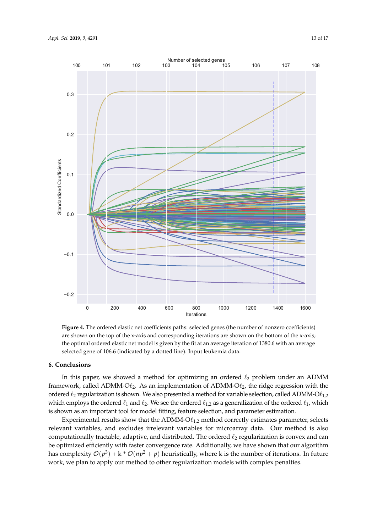<span id="page-12-1"></span>

**Figure 4.** The ordered elastic net coefficients paths: selected genes (the number of nonzero coefficients) are shown on the top of the x-axis and corresponding iterations are shown on the bottom of the x-axis; the optimal ordered elastic net model is given by the fit at an average iteration of 1380.6 with an average selected gene of 106.6 (indicated by a dotted line). Input leukemia data.

#### <span id="page-12-0"></span>**6. Conclusions**

In this paper, we showed a method for optimizing an ordered  $\ell_2$  problem under an ADMM framework, called ADMM-O $\ell_2$ . As an implementation of ADMM-O $\ell_2$ , the ridge regression with the ordered  $\ell_2$  regularization is shown. We also presented a method for variable selection, called ADMM-O $\ell_{1,2}$ which employs the ordered  $\ell_1$  and  $\ell_2$ . We see the ordered  $\ell_{1,2}$  as a generalization of the ordered  $\ell_1$ , which is shown as an important tool for model fitting, feature selection, and parameter estimation.

Experimental results show that the ADMM-O $\ell_{1,2}$  method correctly estimates parameter, selects relevant variables, and excludes irrelevant variables for microarray data. Our method is also computationally tractable, adaptive, and distributed. The ordered  $\ell_2$  regularization is convex and can be optimized efficiently with faster convergence rate. Additionally, we have shown that our algorithm has complexity  $\mathcal{O}(p^3)$  + k \*  $\mathcal{O}(np^2+p)$  heuristically, where k is the number of iterations. In future work, we plan to apply our method to other regularization models with complex penalties.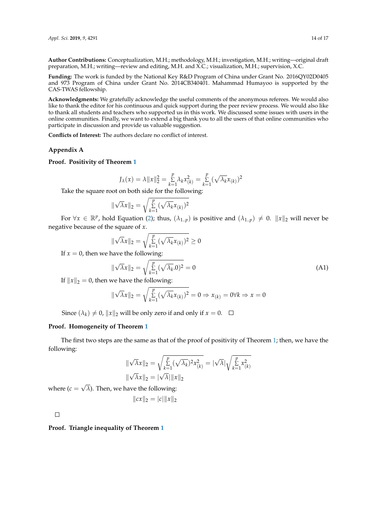**Author Contributions:** Conceptualization, M.H.; methodology, M.H.; investigation, M.H.; writing—original draft preparation, M.H.; writing—review and editing, M.H. and X.C.; visualization, M.H.; supervision, X.C.

**Funding:** The work is funded by the National Key R&D Program of China under Grant No. 2016QY02D0405 and 973 Program of China under Grant No. 2014CB340401. Mahammad Humayoo is supported by the CAS-TWAS fellowship.

**Acknowledgments:** We gratefully acknowledge the useful comments of the anonymous referees. We would also like to thank the editor for his continuous and quick support during the peer review process. We would also like to thank all students and teachers who supported us in this work. We discussed some issues with users in the online communities. Finally, we want to extend a big thank you to all the users of that online communities who participate in discussion and provide us valuable suggestion.

**Conflicts of Interest:** The authors declare no conflict of interest.

#### <span id="page-13-0"></span>**Appendix A**

**Proof. Positivity of Theorem [1](#page-3-2)**

$$
J_{\lambda}(x) = \lambda \|x\|_{2}^{2} = \sum_{k=1}^{p} \lambda_{k} x_{(k)}^{2} = \sum_{k=1}^{p} (\sqrt{\lambda_{k}} x_{(k)})^{2}
$$

Take the square root on both side for the following:

$$
\|\sqrt{\lambda}x\|_2 = \sqrt{\sum_{k=1}^p (\sqrt{\lambda_k}x_{(k)})^2}
$$

For  $\forall x \in \mathbb{R}^p$ , hold Equation [\(2\)](#page-3-3); thus,  $(\lambda_{1..p})$  is positive and  $(\lambda_{1..p}) \neq 0$ .  $||x||_2$  will never be negative because of the square of *x*.

$$
\|\sqrt{\lambda}x\|_2 = \sqrt{\sum_{k=1}^p (\sqrt{\lambda_k}x_{(k)})^2} \ge 0
$$

If  $x = 0$ , then we have the following:

$$
\|\sqrt{\lambda}x\|_2 = \sqrt{\sum_{k=1}^p (\sqrt{\lambda_k}.0)^2} = 0
$$
\n(A1)

If  $||x||_2 = 0$ , then we have the following:

$$
\|\sqrt{\lambda}x\|_2 = \sqrt{\sum_{k=1}^p (\sqrt{\lambda_k}x_{(k)})^2} = 0 \Rightarrow x_{(k)} = 0 \forall k \Rightarrow x = 0
$$

Since  $(\lambda_k) \neq 0$ ,  $||x||_2$  will be only zero if and only if  $x = 0$ .

## **Proof. Homogeneity of Theorem [1](#page-3-2)**

The first two steps are the same as that of the proof of positivity of Theorem [1;](#page-3-2) then, we have the following:

$$
\|\sqrt{\lambda}x\|_2 = \sqrt{\sum_{k=1}^p (\sqrt{\lambda_k})^2 x_{(k)}^2} = |\sqrt{\lambda}| \sqrt{\sum_{k=1}^p x_{(k)}^2}
$$

$$
\|\sqrt{\lambda}x\|_2 = |\sqrt{\lambda}| \|x\|_2
$$

where  $(c =$ √ *λ*). Then, we have the following:

$$
||cx||_2 = |c| ||x||_2
$$

 $\Box$ 

**Proof. Triangle inequality of Theorem [1](#page-3-2)**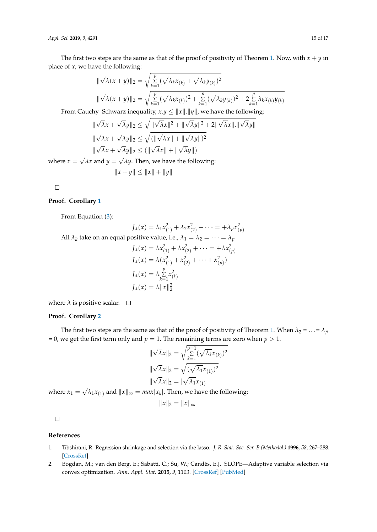*Appl. Sci.* **2019**, *9*, 4291 15 of 17

The first two steps are the same as that of the proof of positivity of Theorem [1.](#page-3-2) Now, with  $x + y$  in place of *x*, we have the following:

$$
\|\sqrt{\lambda}(x+y)\|_{2} = \sqrt{\sum_{k=1}^{p} (\sqrt{\lambda_{k}}x_{(k)} + \sqrt{\lambda_{k}}y_{(k)})^{2}}
$$

$$
\|\sqrt{\lambda}(x+y)\|_{2} = \sqrt{\sum_{k=1}^{p} (\sqrt{\lambda_{k}}x_{(k)})^{2} + \sum_{k=1}^{p} (\sqrt{\lambda_{k}}y_{(k)})^{2} + 2\sum_{k=1}^{p} \lambda_{k}x_{(k)}y_{(k)}}
$$

From Cauchy–Schwarz inequality,  $x.y \le ||x||$ .  $||y||$ , we have the following:

$$
\|\sqrt{\lambda}x + \sqrt{\lambda}y\|_2 \le \sqrt{\|\sqrt{\lambda}x\|^2 + \|\sqrt{\lambda}y\|^2 + 2\|\sqrt{\lambda}x\| \cdot \|\sqrt{\lambda}y\|}
$$

$$
\|\sqrt{\lambda}x + \sqrt{\lambda}y\|_2 \le \sqrt{(\|\sqrt{\lambda}x\| + \|\sqrt{\lambda}y\|)^2}
$$

$$
\|\sqrt{\lambda}x + \sqrt{\lambda}y\|_2 \le (\|\sqrt{\lambda}x\| + \|\sqrt{\lambda}y\|)
$$

where  $x =$ √  $\lambda x$  and  $y =$ *λy*. Then, we have the following:

$$
||x + y|| \le ||x|| + ||y||
$$

 $\Box$ 

# **Proof. Corollary [1](#page-3-4)**

From Equation [\(3\)](#page-3-1):

 $J_{\lambda}(x) = \lambda_1 x_{(1)}^2 + \lambda_2 x_{(2)}^2 + \cdots = +\lambda_p x_{(p)}^2$ All  $\lambda_k$  take on an equal positive value, i.e.,  $\lambda_1 = \lambda_2 = \cdots = \lambda_p$  $J_{\lambda}(x) = \lambda x_{(1)}^2 + \lambda x_{(2)}^2 + \cdots = +\lambda x_{(p)}^2$  $J_{\lambda}(x) = \lambda (x_{(1)}^2 + x_{(2)}^2 + \cdots + x_{(p)}^2)$  $J_{\lambda}(x) = \lambda \sum_{k=1}^{p}$  $\sum_{k=1}^{p} x_{(k)}^2$  $J_\lambda(x) = \lambda \|x\|_2^2$ 

where  $\lambda$  is positive scalar.  $\square$ 

# **Proof. Corollary [2](#page-3-5)**

The first two steps are the same as that of the proof of positivity of Theorem [1.](#page-3-2) When  $\lambda_2 = ... = \lambda_p$ = 0, we get the first term only and  $p = 1$ . The remaining terms are zero when  $p > 1$ .

$$
\|\sqrt{\lambda}x\|_2 = \sqrt{\sum_{k=1}^{p=1} (\sqrt{\lambda_k}x_{(k)})^2}
$$

$$
\|\sqrt{\lambda}x\|_2 = \sqrt{(\sqrt{\lambda_1}x_{(1)})^2}
$$

$$
\|\sqrt{\lambda}x\|_2 = |\sqrt{\lambda_1}x_{(1)}|
$$

$$
\text{max}[x_k] \text{ Then we have the follow}
$$

where  $x_1 = \sqrt{ }$  $\overline{\lambda_1}x_{(1)}$  and  $\|x\|_{\infty} = \textit{max}|x_k|.$  Then, we have the following:

$$
||x||_2=||x||_{\infty}
$$

 $\Box$ 

## **References**

- <span id="page-14-0"></span>1. Tibshirani, R. Regression shrinkage and selection via the lasso. *J. R. Stat. Soc. Ser. B (Methodol.)* **1996**, *58*, 267–288. [\[CrossRef\]](http://dx.doi.org/10.1111/j.2517-6161.1996.tb02080.x)
- <span id="page-14-1"></span>2. Bogdan, M.; van den Berg, E.; Sabatti, C.; Su, W.; Candès, E.J. SLOPE—Adaptive variable selection via convex optimization. *Ann. Appl. Stat.* **2015**, *9*, 1103. [\[CrossRef\]](http://dx.doi.org/10.1214/15-AOAS842) [\[PubMed\]](http://www.ncbi.nlm.nih.gov/pubmed/26709357)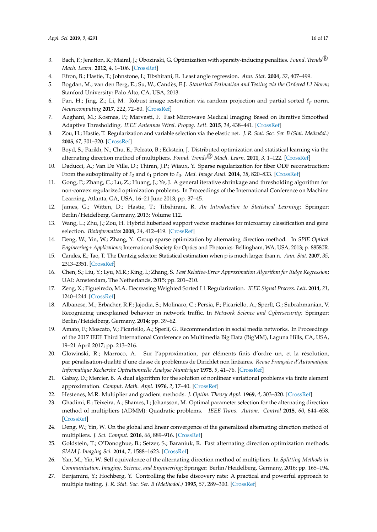- <span id="page-15-0"></span>3. Bach, F.; Jenatton, R.; Mairal, J.; Obozinski, G. Optimization with sparsity-inducing penalties. *Found. Trends* <sup>R</sup> *Mach. Learn.* **2012**, *4*, 1–106. [\[CrossRef\]](http://dx.doi.org/10.1561/2200000015)
- <span id="page-15-1"></span>4. Efron, B.; Hastie, T.; Johnstone, I.; Tibshirani, R. Least angle regression. *Ann. Stat.* **2004**, *32*, 407–499.
- <span id="page-15-2"></span>5. Bogdan, M.; van den Berg, E.; Su, W.; Candès, E.J. *Statistical Estimation and Testing via the Ordered L1 Norm*; Stanford University: Palo Alto, CA, USA, 2013.
- <span id="page-15-3"></span>6. Pan, H.; Jing, Z.; Li, M. Robust image restoration via random projection and partial sorted  $\ell_p$  norm. *Neurocomputing* **2017**, *222*, 72–80. [\[CrossRef\]](http://dx.doi.org/10.1016/j.neucom.2016.10.009)
- <span id="page-15-4"></span>7. Azghani, M.; Kosmas, P.; Marvasti, F. Fast Microwave Medical Imaging Based on Iterative Smoothed Adaptive Thresholding. *IEEE Antennas Wirel. Propag. Lett.* **2015**, *14*, 438–441. [\[CrossRef\]](http://dx.doi.org/10.1109/LAWP.2014.2366919)
- <span id="page-15-5"></span>8. Zou, H.; Hastie, T. Regularization and variable selection via the elastic net. *J. R. Stat. Soc. Ser. B (Stat. Methodol.)* **2005**, *67*, 301–320. [\[CrossRef\]](http://dx.doi.org/10.1111/j.1467-9868.2005.00503.x)
- <span id="page-15-6"></span>9. Boyd, S.; Parikh, N.; Chu, E.; Peleato, B.; Eckstein, J. Distributed optimization and statistical learning via the alternating direction method of multipliers. *Found. Trends<sup>®</sup> Mach. Learn.* 2011, 3, 1-122. [\[CrossRef\]](http://dx.doi.org/10.1561/2200000016)
- <span id="page-15-7"></span>10. Daducci, A.; Van De Ville, D.; Thiran, J.P.; Wiaux, Y. Sparse regularization for fiber ODF reconstruction: From the suboptimality of  $\ell_2$  and  $\ell_1$  priors to  $\ell_0$ . *Med. Image Anal.* **2014**, *18*, 820–833. [\[CrossRef\]](http://dx.doi.org/10.1016/j.media.2014.01.011)
- <span id="page-15-8"></span>11. Gong, P.; Zhang, C.; Lu, Z.; Huang, J.; Ye, J. A general iterative shrinkage and thresholding algorithm for non-convex regularized optimization problems. In Proceedings of the International Conference on Machine Learning, Atlanta, GA, USA, 16–21 June 2013; pp. 37–45.
- <span id="page-15-9"></span>12. James, G.; Witten, D.; Hastie, T.; Tibshirani, R. *An Introduction to Statistical Learning*; Springer: Berlin/Heidelberg, Germany, 2013; Volume 112.
- <span id="page-15-10"></span>13. Wang, L.; Zhu, J.; Zou, H. Hybrid huberized support vector machines for microarray classification and gene selection. *Bioinformatics* **2008**, *24*, 412–419. [\[CrossRef\]](http://dx.doi.org/10.1093/bioinformatics/btm579)
- <span id="page-15-11"></span>14. Deng, W.; Yin, W.; Zhang, Y. Group sparse optimization by alternating direction method. In *SPIE Optical Engineering+ Applications*; International Society for Optics and Photonics: Bellingham, WA, USA, 2013; p. 88580R.
- <span id="page-15-12"></span>15. Candes, E.; Tao, T. The Dantzig selector: Statistical estimation when p is much larger than n. *Ann. Stat.* **2007**, *35*, 2313–2351. [\[CrossRef\]](http://dx.doi.org/10.1214/009053606000001523)
- <span id="page-15-13"></span>16. Chen, S.; Liu, Y.; Lyu, M.R.; King, I.; Zhang, S. *Fast Relative-Error Approximation Algorithm for Ridge Regression*; UAI: Amsterdam, The Netherlands, 2015; pp. 201–210.
- <span id="page-15-14"></span>17. Zeng, X.; Figueiredo, M.A. Decreasing Weighted Sorted L1 Regularization. *IEEE Signal Process. Lett.* **2014**, *21*, 1240–1244. [\[CrossRef\]](http://dx.doi.org/10.1109/LSP.2014.2331977)
- <span id="page-15-15"></span>18. Albanese, M.; Erbacher, R.F.; Jajodia, S.; Molinaro, C.; Persia, F.; Picariello, A.; Sperlì, G.; Subrahmanian, V. Recognizing unexplained behavior in network traffic. In *Network Science and Cybersecurity*; Springer: Berlin/Heidelberg, Germany, 2014; pp. 39–62.
- <span id="page-15-16"></span>19. Amato, F.; Moscato, V.; Picariello, A.; Sperlí, G. Recommendation in social media networks. In Proceedings of the 2017 IEEE Third International Conference on Multimedia Big Data (BigMM), Laguna Hills, CA, USA, 19–21 April 2017; pp. 213–216.
- <span id="page-15-17"></span>20. Glowinski, R.; Marroco, A. Sur l'approximation, par éléments finis d'ordre un, et la résolution, par pénalisation-dualité d'une classe de problèmes de Dirichlet non linéaires. *Revue Française d'Automatique Informatique Recherche Opérationnelle Analyse Numérique* **1975**, *9*, 41–76. [\[CrossRef\]](http://dx.doi.org/10.1051/m2an/197509R200411)
- <span id="page-15-18"></span>21. Gabay, D.; Mercier, B. A dual algorithm for the solution of nonlinear variational problems via finite element approximation. *Comput. Math. Appl.* **1976**, *2*, 17–40. [\[CrossRef\]](http://dx.doi.org/10.1016/0898-1221(76)90003-1)
- <span id="page-15-19"></span>22. Hestenes, M.R. Multiplier and gradient methods. *J. Optim. Theory Appl.* **1969**, *4*, 303–320. [\[CrossRef\]](http://dx.doi.org/10.1007/BF00927673)
- <span id="page-15-20"></span>23. Ghadimi, E.; Teixeira, A.; Shames, I.; Johansson, M. Optimal parameter selection for the alternating direction method of multipliers (ADMM): Quadratic problems. *IEEE Trans. Autom. Control* **2015**, *60*, 644–658. [\[CrossRef\]](http://dx.doi.org/10.1109/TAC.2014.2354892)
- <span id="page-15-21"></span>24. Deng, W.; Yin, W. On the global and linear convergence of the generalized alternating direction method of multipliers. *J. Sci. Comput.* **2016**, *66*, 889–916. [\[CrossRef\]](http://dx.doi.org/10.1007/s10915-015-0048-x)
- <span id="page-15-22"></span>25. Goldstein, T.; O'Donoghue, B.; Setzer, S.; Baraniuk, R. Fast alternating direction optimization methods. *SIAM J. Imaging Sci.* **2014**, *7*, 1588–1623. [\[CrossRef\]](http://dx.doi.org/10.1137/120896219)
- <span id="page-15-23"></span>26. Yan, M.; Yin, W. Self equivalence of the alternating direction method of multipliers. In *Splitting Methods in Communication, Imaging, Science, and Engineering*; Springer: Berlin/Heidelberg, Germany, 2016; pp. 165–194.
- <span id="page-15-24"></span>27. Benjamini, Y.; Hochberg, Y. Controlling the false discovery rate: A practical and powerful approach to multiple testing. *J. R. Stat. Soc. Ser. B (Methodol.)* **1995**, *57*, 289–300. [\[CrossRef\]](http://dx.doi.org/10.1111/j.2517-6161.1995.tb02031.x)